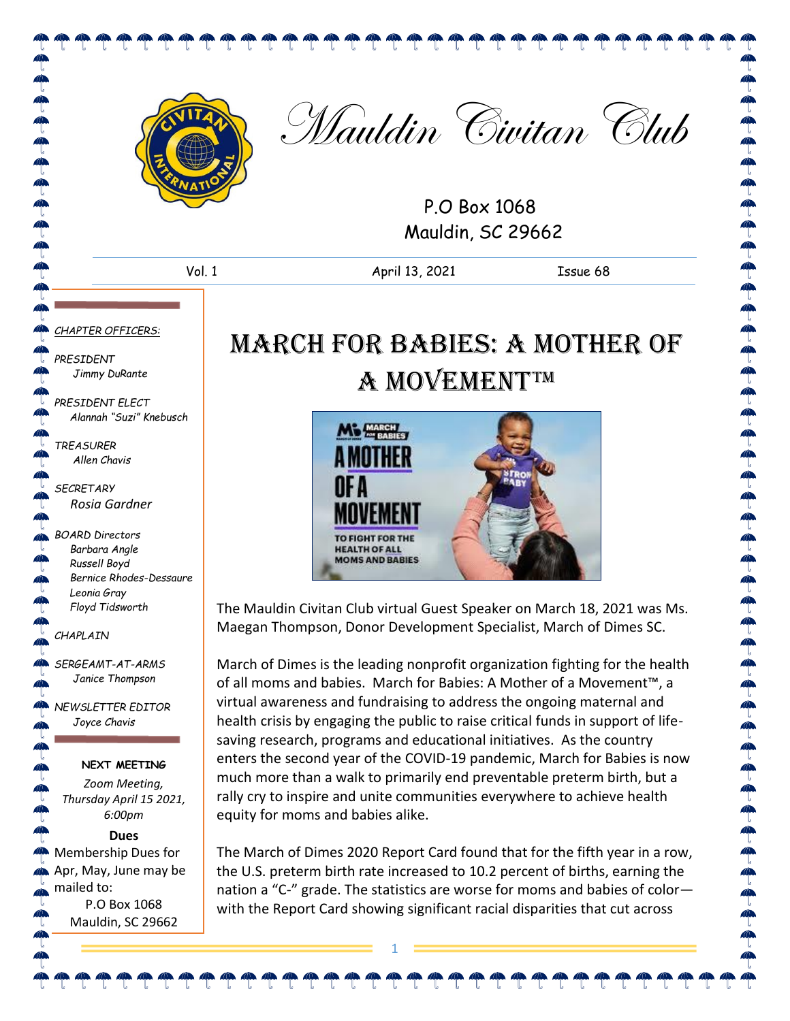

Mauldin Civitan Club

P.O Box 1068 Mauldin, SC 29662

Vol. 1 April 13, 2021 Issue 68

#### *CHAPTER OFFICERS:*

P 4

**CONCRETE PROPERTY** 

 $\tilde{\P}$  $\triangleleft$  $\mathbb{P}$  $\blacksquare$  $\mathbb{R}$  $\mathbb{Z}$ ¢  $\mathbb{Z}$ 

 $\bigoplus$  $\clubsuit$ 

4

⊕

 $\mathbb{Z}$ 

 $\mathbb{Z}$  $\bullet$  $\mathbb{P}$ 

> $\mathbb{P}$  $\hat{\mathbb{P}}$

 $\mathbb{R}$ 

*PRESIDENT Jimmy DuRante*

*PRESIDENT ELECT Alannah "Suzi" Knebusch*

*TREASURER Allen Chavis*

*SECRETARY Rosia Gardner*

*BOARD Directors Barbara Angle Russell Boyd Bernice Rhodes-Dessaure Leonia Gray Floyd Tidsworth*

*CHAPLAIN*

 $\mathbb{A}$ *SERGEAMT-AT-ARMS Janice Thompson*

 $\mathbb{A}$ *NEWSLETTER EDITOR Joyce Chavis* 

#### **NEXT MEETING**

*Zoom Meeting, Thursday April 15 2021, 6:00pm*

#### **Dues**

Membership Dues for Apr, May, June may be  $\clubsuit$ mailed to:  $\hat{\mathbf{a}}$ P.O Box 1068  $\mathbb{Z}$ Mauldin, SC 29662

## March for Babies: A Mother of **A MOVEMENT™**



The Mauldin Civitan Club virtual Guest Speaker on March 18, 2021 was Ms. Maegan Thompson, Donor Development Specialist, March of Dimes SC.

March of Dimes is the leading nonprofit organization fighting for the health of all moms and babies. March for Babies: A Mother of a Movement™, a virtual awareness and fundraising to address the ongoing maternal and health crisis by engaging the public to raise critical funds in support of lifesaving research, programs and educational initiatives. As the country enters the second year of the COVID-19 pandemic, March for Babies is now much more than a walk to primarily end preventable preterm birth, but a rally cry to inspire and unite communities everywhere to achieve health equity for moms and babies alike.

The March of Dimes 2020 Report Card found that for the fifth year in a row, the U.S. preterm birth rate increased to 10.2 percent of births, earning the nation a "C-" grade. The statistics are worse for moms and babies of color with the Report Card showing significant racial disparities that cut across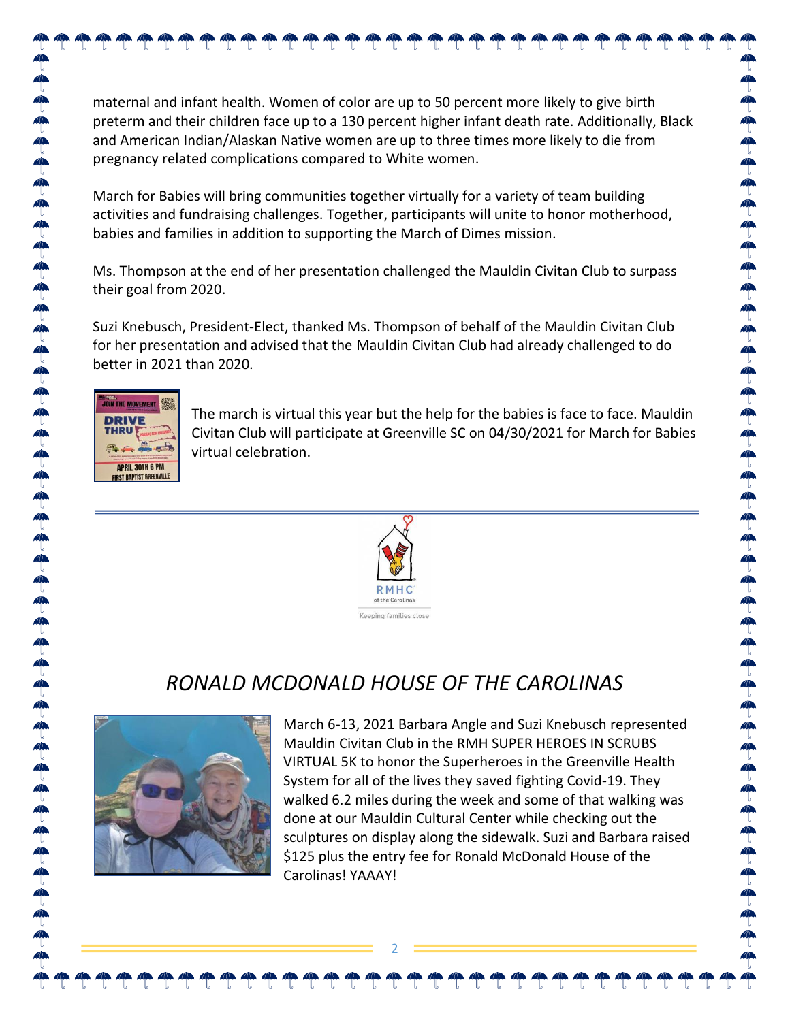### maternal and infant health. Women of color are up to 50 percent more likely to give birth preterm and their children face up to a 130 percent higher infant death rate. Additionally, Black and American Indian/Alaskan Native women are up to three times more likely to die from pregnancy related complications compared to White women. March for Babies will bring communities together virtually for a variety of team building activities and fundraising challenges. Together, participants will unite to honor motherhood, babies and families in addition to supporting the March of Dimes mission.

Ms. Thompson at the end of her presentation challenged the Mauldin Civitan Club to surpass their goal from 2020.

Suzi Knebusch, President-Elect, thanked Ms. Thompson of behalf of the Mauldin Civitan Club for her presentation and advised that the Mauldin Civitan Club had already challenged to do better in 2021 than 2020.



The march is virtual this year but the help for the babies is face to face. Mauldin Civitan Club will participate at Greenville SC on 04/30/2021 for March for Babies virtual celebration.



## *RONALD MCDONALD HOUSE OF THE CAROLINAS*

2



March 6-13, 2021 Barbara Angle and Suzi Knebusch represented Mauldin Civitan Club in the RMH SUPER HEROES IN SCRUBS VIRTUAL 5K to honor the Superheroes in the Greenville Health System for all of the lives they saved fighting Covid-19. They walked 6.2 miles during the week and some of that walking was done at our Mauldin Cultural Center while checking out the sculptures on display along the sidewalk. Suzi and Barbara raised \$125 plus the entry fee for Ronald McDonald House of the Carolinas! YAAAY!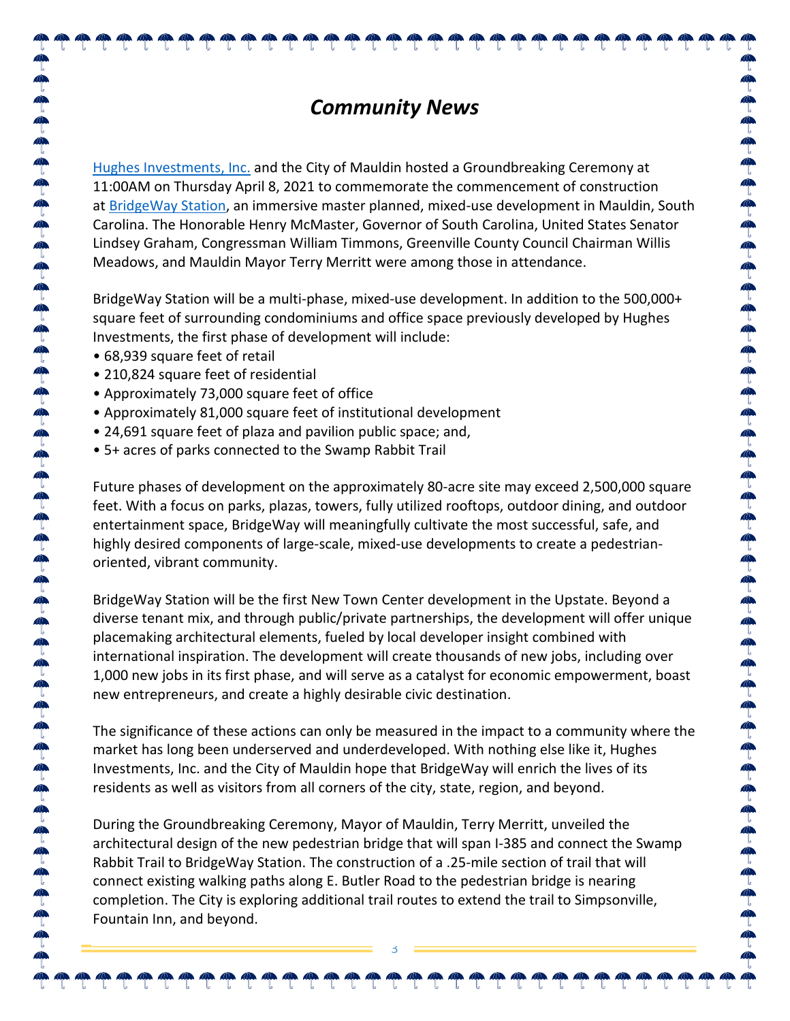### *Community News*

Hughes [Investments,](https://www.hughesinvestments.com/) Inc. and the City of Mauldin hosted a Groundbreaking Ceremony at 11:00AM on Thursday April 8, 2021 to commemorate the commencement of construction at [BridgeWay](https://www.bridgewaystation.com/) Station, an immersive master planned, mixed-use development in Mauldin, South Carolina. The Honorable Henry McMaster, Governor of South Carolina, United States Senator Lindsey Graham, Congressman William Timmons, Greenville County Council Chairman Willis Meadows, and Mauldin Mayor Terry Merritt were among those in attendance.

BridgeWay Station will be a multi-phase, mixed-use development. In addition to the 500,000+ square feet of surrounding condominiums and office space previously developed by Hughes Investments, the first phase of development will include:

- 68,939 square feet of retail
- 210,824 square feet of residential
- Approximately 73,000 square feet of office
- Approximately 81,000 square feet of institutional development
- 24,691 square feet of plaza and pavilion public space; and,
- 5+ acres of parks connected to the Swamp Rabbit Trail

Future phases of development on the approximately 80-acre site may exceed 2,500,000 square feet. With a focus on parks, plazas, towers, fully utilized rooftops, outdoor dining, and outdoor entertainment space, BridgeWay will meaningfully cultivate the most successful, safe, and highly desired components of large-scale, mixed-use developments to create a pedestrianoriented, vibrant community.

 $40.40$ 

BridgeWay Station will be the first New Town Center development in the Upstate. Beyond a diverse tenant mix, and through public/private partnerships, the development will offer unique placemaking architectural elements, fueled by local developer insight combined with international inspiration. The development will create thousands of new jobs, including over 1,000 new jobs in its first phase, and will serve as a catalyst for economic empowerment, boast new entrepreneurs, and create a highly desirable civic destination.

The significance of these actions can only be measured in the impact to a community where the market has long been underserved and underdeveloped. With nothing else like it, Hughes Investments, Inc. and the City of Mauldin hope that BridgeWay will enrich the lives of its residents as well as visitors from all corners of the city, state, region, and beyond.

During the Groundbreaking Ceremony, Mayor of Mauldin, Terry Merritt, unveiled the architectural design of the new pedestrian bridge that will span I-385 and connect the Swamp Rabbit Trail to BridgeWay Station. The construction of a .25-mile section of trail that will connect existing walking paths along E. Butler Road to the pedestrian bridge is nearing completion. The City is exploring additional trail routes to extend the trail to Simpsonville, Fountain Inn, and beyond.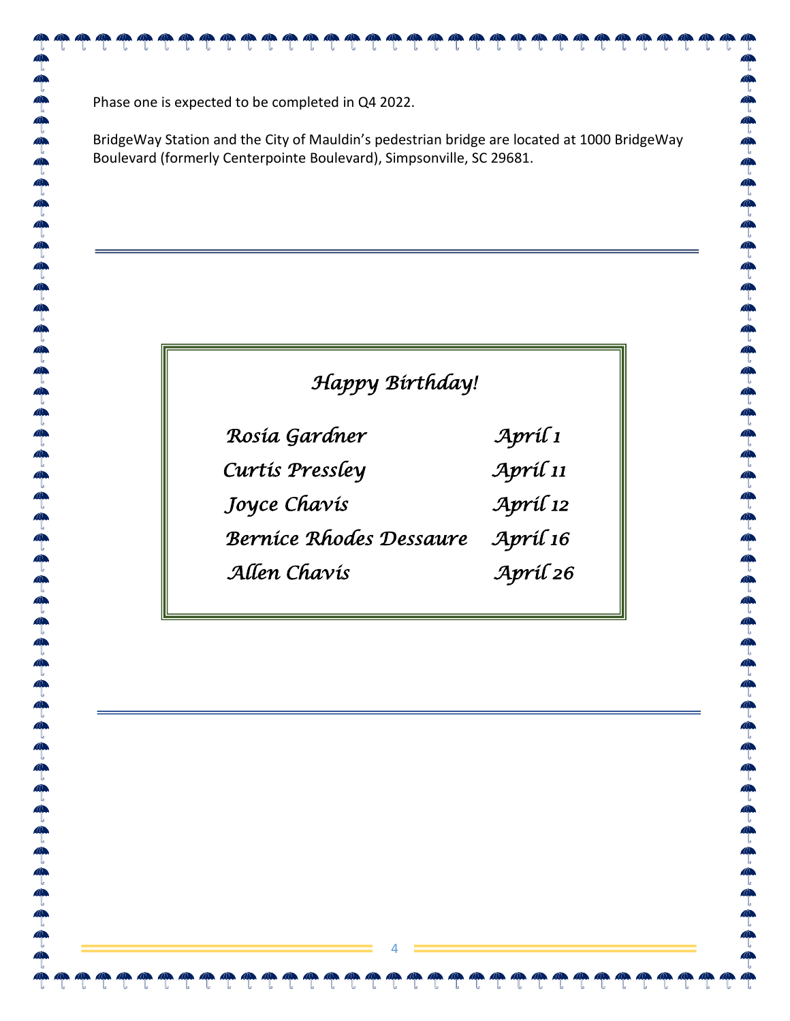Phase one is expected to be completed in Q4 2022.

 $\mathbb{Z}$  $\mathbb{Z}$  $\mathbb{R}$  $\mathbb{R}$  $\mathbb{Z}$ 

BridgeWay Station and the City of Mauldin's pedestrian bridge are located at 1000 BridgeWay Boulevard (formerly Centerpointe Boulevard), Simpsonville, SC 29681.

 $\mathbb{Z}$  $\mathbb{Z}$ 

 $\bullet$ 

 $\mathbb{Z}$ 

an an an an

 $4$  $\mathbb{Z}$   $\mathbb{Z}$ 

 $\mathbb{Z}$ 

### *Happy Birthday!*

| Rosía Gardner                  | Apríl 1         |
|--------------------------------|-----------------|
| Curtis Pressley                | Apríl 11        |
| Joyce Chavis                   | $Arr\hat{i}$ 12 |
| <b>Bernice Rhodes Dessaure</b> | Apríl 16        |
| Allen Chavis                   | Apríl 26        |

4

 $\mathbb{Z}$